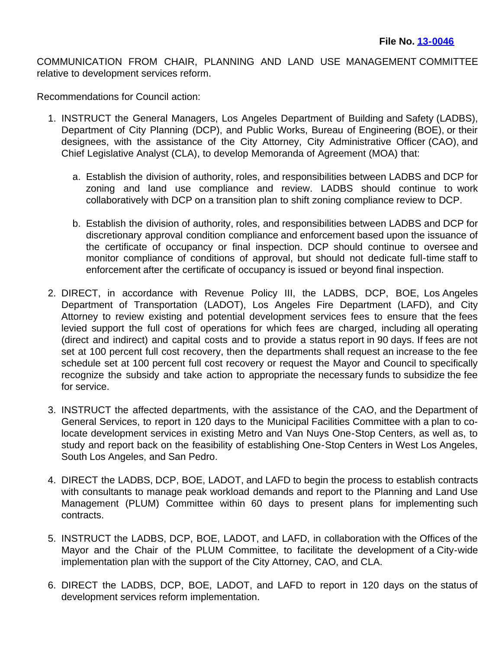COMMUNICATION FROM CHAIR, PLANNING AND LAND USE MANAGEMENT COMMITTEE relative to development services reform.

Recommendations for Council action:

- 1. INSTRUCT the General Managers, Los Angeles Department of Building and Safety (LADBS), Department of City Planning (DCP), and Public Works, Bureau of Engineering (BOE), or their designees, with the assistance of the City Attorney, City Administrative Officer (CAO), and Chief Legislative Analyst (CLA), to develop Memoranda of Agreement (MOA) that:
	- a. Establish the division of authority, roles, and responsibilities between LADBS and DCP for zoning and land use compliance and review. LADBS should continue to work collaboratively with DCP on a transition plan to shift zoning compliance review to DCP.
	- b. Establish the division of authority, roles, and responsibilities between LADBS and DCP for discretionary approval condition compliance and enforcement based upon the issuance of the certificate of occupancy or final inspection. DCP should continue to oversee and monitor compliance of conditions of approval, but should not dedicate full-time staff to enforcement after the certificate of occupancy is issued or beyond final inspection.
- 2. DIRECT, in accordance with Revenue Policy III, the LADBS, DCP, BOE, Los Angeles Department of Transportation (LADOT), Los Angeles Fire Department (LAFD), and City Attorney to review existing and potential development services fees to ensure that the fees levied support the full cost of operations for which fees are charged, including all operating (direct and indirect) and capital costs and to provide a status report in 90 days. If fees are not set at 100 percent full cost recovery, then the departments shall request an increase to the fee schedule set at 100 percent full cost recovery or request the Mayor and Council to specifically recognize the subsidy and take action to appropriate the necessary funds to subsidize the fee for service.
- 3. INSTRUCT the affected departments, with the assistance of the CAO, and the Department of General Services, to report in 120 days to the Municipal Facilities Committee with a plan to colocate development services in existing Metro and Van Nuys One-Stop Centers, as well as, to study and report back on the feasibility of establishing One-Stop Centers in West Los Angeles, South Los Angeles, and San Pedro.
- 4. DIRECT the LADBS, DCP, BOE, LADOT, and LAFD to begin the process to establish contracts with consultants to manage peak workload demands and report to the Planning and Land Use Management (PLUM) Committee within 60 days to present plans for implementing such contracts.
- 5. INSTRUCT the LADBS, DCP, BOE, LADOT, and LAFD, in collaboration with the Offices of the Mayor and the Chair of the PLUM Committee, to facilitate the development of a City-wide implementation plan with the support of the City Attorney, CAO, and CLA.
- 6. DIRECT the LADBS, DCP, BOE, LADOT, and LAFD to report in 120 days on the status of development services reform implementation.